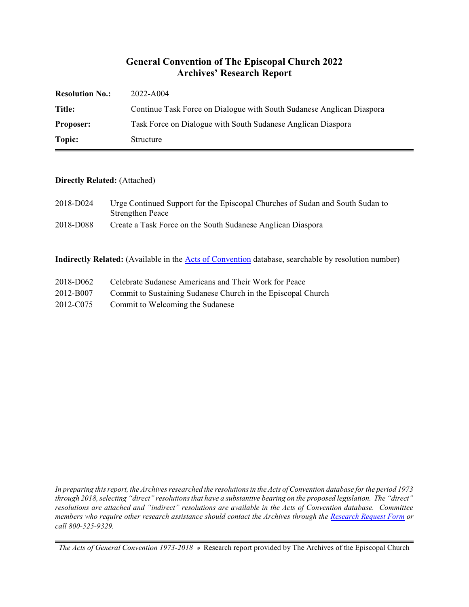### **General Convention of The Episcopal Church 2022 Archives' Research Report**

| <b>Resolution No.:</b> | 2022-A004                                                             |
|------------------------|-----------------------------------------------------------------------|
| Title:                 | Continue Task Force on Dialogue with South Sudanese Anglican Diaspora |
| <b>Proposer:</b>       | Task Force on Dialogue with South Sudanese Anglican Diaspora          |
| Topic:                 | Structure                                                             |

#### **Directly Related:** (Attached)

| 2018-D024 | Urge Continued Support for the Episcopal Churches of Sudan and South Sudan to |
|-----------|-------------------------------------------------------------------------------|
|           | <b>Strengthen Peace</b>                                                       |
| 2018-D088 | Create a Task Force on the South Sudanese Anglican Diaspora                   |

**Indirectly Related:** (Available in the [Acts of Convention](https://www.episcopalarchives.org/e-archives/acts/) database, searchable by resolution number)

- 2018-D062 Celebrate Sudanese Americans and Their Work for Peace
- 2012-B007 Commit to Sustaining Sudanese Church in the Episcopal Church
- 2012-C075 Commit to Welcoming the Sudanese

*In preparing this report, the Archives researched the resolutions in the Acts of Convention database for the period 1973 through 2018, selecting "direct" resolutions that have a substantive bearing on the proposed legislation. The "direct" resolutions are attached and "indirect" resolutions are available in the Acts of Convention database. Committee members who require other research assistance should contact the Archives through the Research [Request Form](https://www.episcopalarchives.org/contact/research-request-form) or call 800-525-9329.*

*The Acts of General Convention 1973-2018*  $*$  Research report provided by The Archives of the Episcopal Church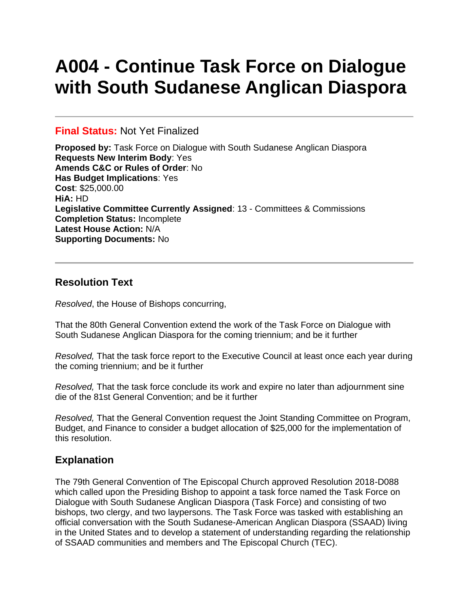# **A004 - Continue Task Force on Dialogue with South Sudanese Anglican Diaspora**

#### **Final Status:** Not Yet Finalized

**Proposed by:** Task Force on Dialogue with South Sudanese Anglican Diaspora **Requests New Interim Body**: Yes **Amends C&C or Rules of Order**: No **Has Budget Implications**: Yes **Cost**: \$25,000.00 **HiA:** HD **Legislative Committee Currently Assigned**: 13 - Committees & Commissions **Completion Status:** Incomplete **Latest House Action:** N/A **Supporting Documents:** No

# **Resolution Text**

*Resolved*, the House of Bishops concurring,

That the 80th General Convention extend the work of the Task Force on Dialogue with South Sudanese Anglican Diaspora for the coming triennium; and be it further

*Resolved,* That the task force report to the Executive Council at least once each year during the coming triennium; and be it further

*Resolved,* That the task force conclude its work and expire no later than adjournment sine die of the 81st General Convention; and be it further

*Resolved,* That the General Convention request the Joint Standing Committee on Program, Budget, and Finance to consider a budget allocation of \$25,000 for the implementation of this resolution.

# **Explanation**

The 79th General Convention of The Episcopal Church approved Resolution 2018-D088 which called upon the Presiding Bishop to appoint a task force named the Task Force on Dialogue with South Sudanese Anglican Diaspora (Task Force) and consisting of two bishops, two clergy, and two laypersons. The Task Force was tasked with establishing an official conversation with the South Sudanese-American Anglican Diaspora (SSAAD) living in the United States and to develop a statement of understanding regarding the relationship of SSAAD communities and members and The Episcopal Church (TEC).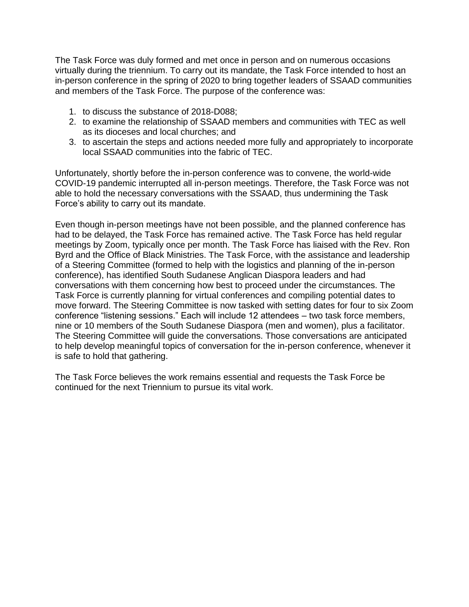The Task Force was duly formed and met once in person and on numerous occasions virtually during the triennium. To carry out its mandate, the Task Force intended to host an in-person conference in the spring of 2020 to bring together leaders of SSAAD communities and members of the Task Force. The purpose of the conference was:

- 1. to discuss the substance of 2018-D088;
- 2. to examine the relationship of SSAAD members and communities with TEC as well as its dioceses and local churches; and
- 3. to ascertain the steps and actions needed more fully and appropriately to incorporate local SSAAD communities into the fabric of TEC.

Unfortunately, shortly before the in-person conference was to convene, the world-wide COVID-19 pandemic interrupted all in-person meetings. Therefore, the Task Force was not able to hold the necessary conversations with the SSAAD, thus undermining the Task Force's ability to carry out its mandate.

Even though in-person meetings have not been possible, and the planned conference has had to be delayed, the Task Force has remained active. The Task Force has held regular meetings by Zoom, typically once per month. The Task Force has liaised with the Rev. Ron Byrd and the Office of Black Ministries. The Task Force, with the assistance and leadership of a Steering Committee (formed to help with the logistics and planning of the in-person conference), has identified South Sudanese Anglican Diaspora leaders and had conversations with them concerning how best to proceed under the circumstances. The Task Force is currently planning for virtual conferences and compiling potential dates to move forward. The Steering Committee is now tasked with setting dates for four to six Zoom conference "listening sessions." Each will include 12 attendees – two task force members, nine or 10 members of the South Sudanese Diaspora (men and women), plus a facilitator. The Steering Committee will guide the conversations. Those conversations are anticipated to help develop meaningful topics of conversation for the in-person conference, whenever it is safe to hold that gathering.

The Task Force believes the work remains essential and requests the Task Force be continued for the next Triennium to pursue its vital work.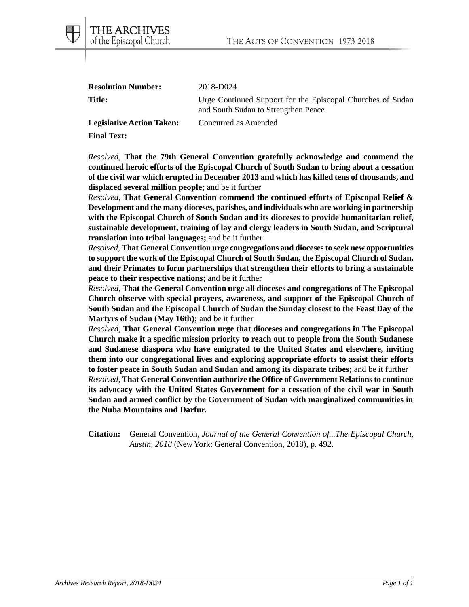| <b>Resolution Number:</b>        | 2018-D024                                                                                         |
|----------------------------------|---------------------------------------------------------------------------------------------------|
| Title:                           | Urge Continued Support for the Episcopal Churches of Sudan<br>and South Sudan to Strengthen Peace |
| <b>Legislative Action Taken:</b> | Concurred as Amended                                                                              |

**Final Text:**

*Resolved,* **That the 79th General Convention gratefully acknowledge and commend the continued heroic efforts of the Episcopal Church of South Sudan to bring about a cessation of the civil war which erupted in December 2013 and which has killed tens of thousands, and displaced several million people;** and be it further

*Resolved,* **That General Convention commend the continued efforts of Episcopal Relief & Development and the many dioceses, parishes, and individuals who are working in partnership with the Episcopal Church of South Sudan and its dioceses to provide humanitarian relief, sustainable development, training of lay and clergy leaders in South Sudan, and Scriptural translation into tribal languages;** and be it further

*Resolved,* **That General Convention urge congregations and dioceses to seek new opportunities to support the work of the Episcopal Church of South Sudan, the Episcopal Church of Sudan, and their Primates to form partnerships that strengthen their efforts to bring a sustainable peace to their respective nations;** and be it further

*Resolved,* **That the General Convention urge all dioceses and congregations of The Episcopal Church observe with special prayers, awareness, and support of the Episcopal Church of South Sudan and the Episcopal Church of Sudan the Sunday closest to the Feast Day of the Martyrs of Sudan (May 16th);** and be it further

*Resolved,* **That General Convention urge that dioceses and congregations in The Episcopal Church make it a specific mission priority to reach out to people from the South Sudanese and Sudanese diaspora who have emigrated to the United States and elsewhere, inviting them into our congregational lives and exploring appropriate efforts to assist their efforts to foster peace in South Sudan and Sudan and among its disparate tribes;** and be it further *Resolved,* **That General Convention authorize the Office of Government Relations to continue its advocacy with the United States Government for a cessation of the civil war in South Sudan and armed conflict by the Government of Sudan with marginalized communities in the Nuba Mountains and Darfur.**

**Citation:** General Convention, *Journal of the General Convention of...The Episcopal Church, Austin, 2018* (New York: General Convention, 2018), p. 492.